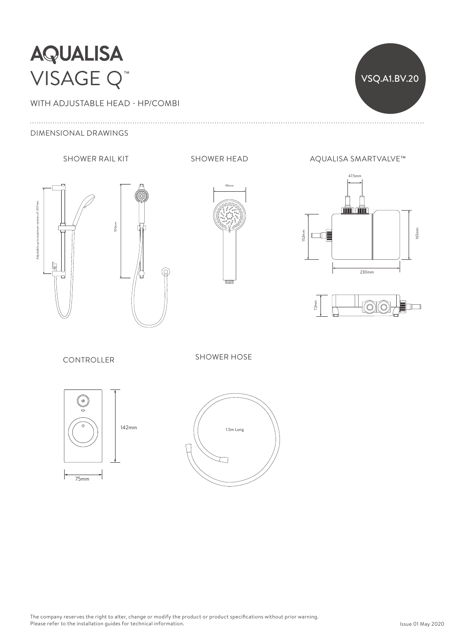## **AQUALISA** VISAGE Q™

WITH ADJUSTABLE HEAD - HP/COMBI







SHOWER RAIL KIT SHOWER HEAD AQUALISA SMARTVALVE™

VSQ.A1.BV.20





CONTROLLER

SHOWER HOSE



 $142mm$ 



 $\frac{7}{1}$